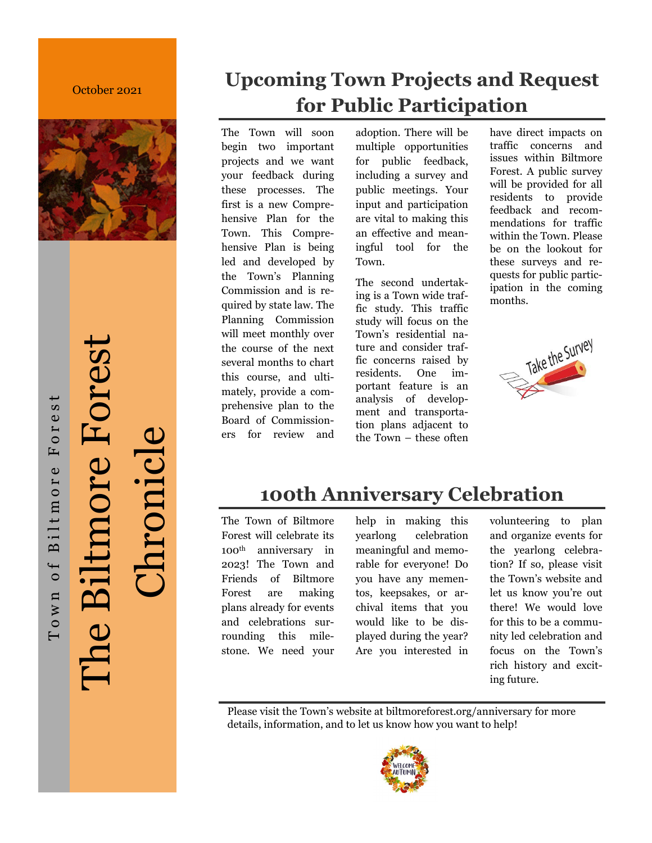### October 2021



The Biltmore Forest The Biltmore Forest Chronicle

Town of Biltmore Forest

Biltmore

Town of

Forest

# **Upcoming Town Projects and Request for Public Participation**

The Town will soon begin two important projects and we want your feedback during these processes. The first is a new Comprehensive Plan for the Town. This Comprehensive Plan is being led and developed by the Town's Planning Commission and is required by state law. The Planning Commission will meet monthly over the course of the next several months to chart this course, and ultimately, provide a comprehensive plan to the Board of Commissioners for review and adoption. There will be multiple opportunities for public feedback, including a survey and public meetings. Your input and participation are vital to making this an effective and meaningful tool for the Town.

The second undertaking is a Town wide traffic study. This traffic study will focus on the Town's residential nature and consider traffic concerns raised by residents. One important feature is an analysis of development and transportation plans adjacent to the Town – these often have direct impacts on traffic concerns and issues within Biltmore Forest. A public survey will be provided for all residents to provide feedback and recommendations for traffic within the Town. Please be on the lookout for these surveys and requests for public participation in the coming months.



# **100th Anniversary Celebration**

The Town of Biltmore Forest will celebrate its 100th anniversary in 2023! The Town and Friends of Biltmore Forest are making plans already for events and celebrations surrounding this milestone. We need your

help in making this yearlong celebration meaningful and memorable for everyone! Do you have any mementos, keepsakes, or archival items that you would like to be displayed during the year? Are you interested in volunteering to plan and organize events for the yearlong celebration? If so, please visit the Town's website and let us know you're out there! We would love for this to be a community led celebration and focus on the Town's rich history and exciting future.

Please visit the Town's website at biltmoreforest.org/anniversary for more details, information, and to let us know how you want to help!

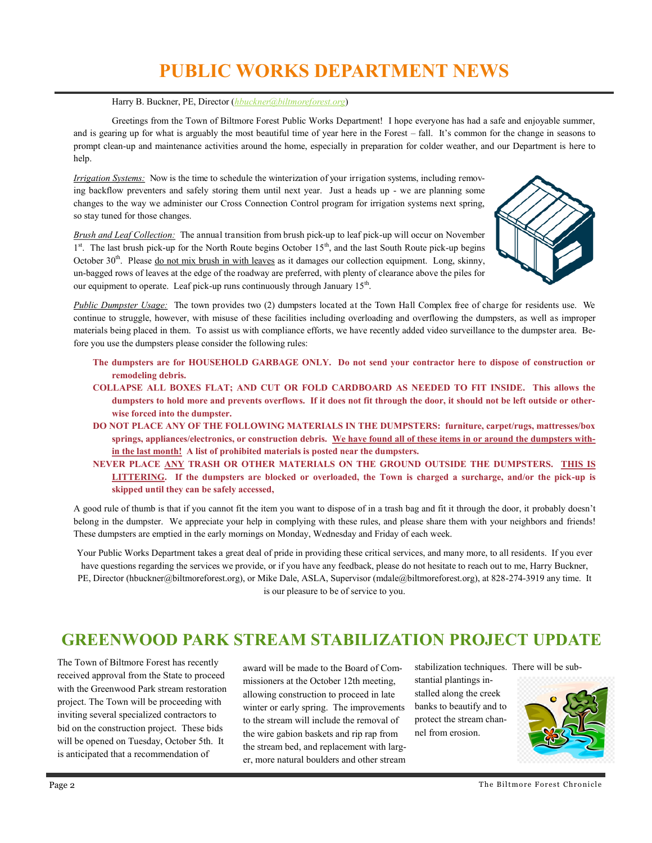# **PUBLIC WORKS DEPARTMENT NEWS**

### Harry B. Buckner, PE, Director (*[hbuckner@biltmoreforest.org](mailto:hbuckner@biltmoreforest.org)*)

Greetings from the Town of Biltmore Forest Public Works Department! I hope everyone has had a safe and enjoyable summer, and is gearing up for what is arguably the most beautiful time of year here in the Forest – fall. It's common for the change in seasons to prompt clean-up and maintenance activities around the home, especially in preparation for colder weather, and our Department is here to help.

*Irrigation Systems:* Now is the time to schedule the winterization of your irrigation systems, including removing backflow preventers and safely storing them until next year. Just a heads up - we are planning some changes to the way we administer our Cross Connection Control program for irrigation systems next spring, so stay tuned for those changes.

*Brush and Leaf Collection:* The annual transition from brush pick-up to leaf pick-up will occur on November <sup>1st</sup>. The last brush pick-up for the North Route begins October 15<sup>th</sup>, and the last South Route pick-up begins October  $30<sup>th</sup>$ . Please do not mix brush in with leaves as it damages our collection equipment. Long, skinny, un-bagged rows of leaves at the edge of the roadway are preferred, with plenty of clearance above the piles for our equipment to operate. Leaf pick-up runs continuously through January  $15<sup>th</sup>$ .



*Public Dumpster Usage:* The town provides two (2) dumpsters located at the Town Hall Complex free of charge for residents use. We continue to struggle, however, with misuse of these facilities including overloading and overflowing the dumpsters, as well as improper materials being placed in them. To assist us with compliance efforts, we have recently added video surveillance to the dumpster area. Before you use the dumpsters please consider the following rules:

- **The dumpsters are for HOUSEHOLD GARBAGE ONLY. Do not send your contractor here to dispose of construction or remodeling debris.**
- **COLLAPSE ALL BOXES FLAT; AND CUT OR FOLD CARDBOARD AS NEEDED TO FIT INSIDE. This allows the dumpsters to hold more and prevents overflows. If it does not fit through the door, it should not be left outside or otherwise forced into the dumpster.**
- **DO NOT PLACE ANY OF THE FOLLOWING MATERIALS IN THE DUMPSTERS: furniture, carpet/rugs, mattresses/box springs, appliances/electronics, or construction debris. We have found all of these items in or around the dumpsters within the last month! A list of prohibited materials is posted near the dumpsters.**
- **NEVER PLACE ANY TRASH OR OTHER MATERIALS ON THE GROUND OUTSIDE THE DUMPSTERS. THIS IS LITTERING. If the dumpsters are blocked or overloaded, the Town is charged a surcharge, and/or the pick-up is skipped until they can be safely accessed,**

A good rule of thumb is that if you cannot fit the item you want to dispose of in a trash bag and fit it through the door, it probably doesn't belong in the dumpster. We appreciate your help in complying with these rules, and please share them with your neighbors and friends! These dumpsters are emptied in the early mornings on Monday, Wednesday and Friday of each week.

Your Public Works Department takes a great deal of pride in providing these critical services, and many more, to all residents. If you ever have questions regarding the services we provide, or if you have any feedback, please do not hesitate to reach out to me, Harry Buckner, PE, Director (hbuckner@biltmoreforest.org), or Mike Dale, ASLA, Supervisor (mdale@biltmoreforest.org), at 828-274-3919 any time. It is our pleasure to be of service to you.

## **GREENWOOD PARK STREAM STABILIZATION PROJECT UPDATE**

The Town of Biltmore Forest has recently received approval from the State to proceed with the Greenwood Park stream restoration project. The Town will be proceeding with inviting several specialized contractors to bid on the construction project. These bids will be opened on Tuesday, October 5th. It is anticipated that a recommendation of

award will be made to the Board of Commissioners at the October 12th meeting, allowing construction to proceed in late winter or early spring. The improvements to the stream will include the removal of the wire gabion baskets and rip rap from the stream bed, and replacement with larger, more natural boulders and other stream

stabilization techniques. There will be sub-

stantial plantings installed along the creek banks to beautify and to protect the stream channel from erosion.

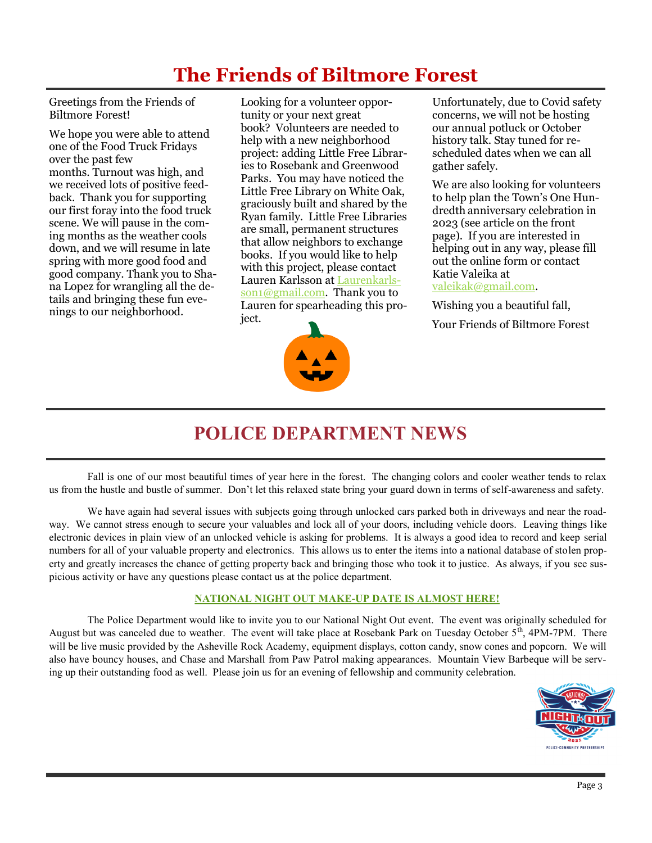# **The Friends of Biltmore Forest**

Greetings from the Friends of Biltmore Forest!

We hope you were able to attend one of the Food Truck Fridays over the past few months. Turnout was high, and we received lots of positive feedback. Thank you for supporting our first foray into the food truck scene. We will pause in the coming months as the weather cools down, and we will resume in late spring with more good food and good company. Thank you to Shana Lopez for wrangling all the details and bringing these fun evenings to our neighborhood.

Looking for a volunteer opportunity or your next great book? Volunteers are needed to help with a new neighborhood project: adding Little Free Libraries to Rosebank and Greenwood Parks. You may have noticed the Little Free Library on White Oak, graciously built and shared by the Ryan family. Little Free Libraries are small, permanent structures that allow neighbors to exchange books. If you would like to help with this project, please contact Lauren Karlsson at [Laurenkarls](mailto:Laurenkarlsson1@gmail.com)[son1@gmail.com.](mailto:Laurenkarlsson1@gmail.com) Thank you to Lauren for spearheading this project.



Unfortunately, due to Covid safety concerns, we will not be hosting our annual potluck or October history talk. Stay tuned for rescheduled dates when we can all gather safely.

We are also looking for volunteers to help plan the Town's One Hundredth anniversary celebration in 2023 (see article on the front page). If you are interested in helping out in any way, please fill out the online form or contact Katie Valeika at [valeikak@gmail.com.](mailto:valeikak@gmail.com) 

Wishing you a beautiful fall,

Your Friends of Biltmore Forest

# **POLICE DEPARTMENT NEWS**

Fall is one of our most beautiful times of year here in the forest. The changing colors and cooler weather tends to relax us from the hustle and bustle of summer. Don't let this relaxed state bring your guard down in terms of self-awareness and safety.

We have again had several issues with subjects going through unlocked cars parked both in driveways and near the roadway. We cannot stress enough to secure your valuables and lock all of your doors, including vehicle doors. Leaving things like electronic devices in plain view of an unlocked vehicle is asking for problems. It is always a good idea to record and keep serial numbers for all of your valuable property and electronics. This allows us to enter the items into a national database of stolen property and greatly increases the chance of getting property back and bringing those who took it to justice. As always, if you see suspicious activity or have any questions please contact us at the police department.

## **NATIONAL NIGHT OUT MAKE-UP DATE IS ALMOST HERE!**

The Police Department would like to invite you to our National Night Out event. The event was originally scheduled for August but was canceled due to weather. The event will take place at Rosebank Park on Tuesday October  $5<sup>th</sup>$ , 4PM-7PM. There will be live music provided by the Asheville Rock Academy, equipment displays, cotton candy, snow cones and popcorn. We will also have bouncy houses, and Chase and Marshall from Paw Patrol making appearances. Mountain View Barbeque will be serving up their outstanding food as well. Please join us for an evening of fellowship and community celebration.